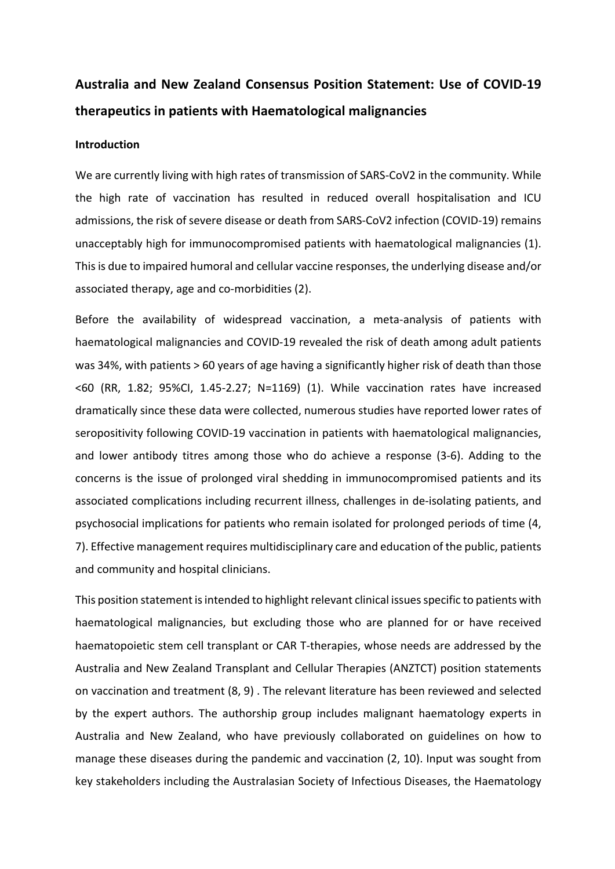# **Australia and New Zealand Consensus Position Statement: Use of COVID-19 therapeutics in patients with Haematological malignancies**

#### **Introduction**

We are currently living with high rates of transmission of SARS-CoV2 in the community. While the high rate of vaccination has resulted in reduced overall hospitalisation and ICU admissions, the risk of severe disease or death from SARS-CoV2 infection (COVID-19) remains unacceptably high for immunocompromised patients with haematological malignancies (1). This is due to impaired humoral and cellular vaccine responses, the underlying disease and/or associated therapy, age and co-morbidities (2).

Before the availability of widespread vaccination, a meta-analysis of patients with haematological malignancies and COVID-19 revealed the risk of death among adult patients was 34%, with patients > 60 years of age having a significantly higher risk of death than those <60 (RR, 1.82; 95%CI, 1.45-2.27; N=1169) (1). While vaccination rates have increased dramatically since these data were collected, numerous studies have reported lower rates of seropositivity following COVID-19 vaccination in patients with haematological malignancies, and lower antibody titres among those who do achieve a response (3-6). Adding to the concerns is the issue of prolonged viral shedding in immunocompromised patients and its associated complications including recurrent illness, challenges in de-isolating patients, and psychosocial implications for patients who remain isolated for prolonged periods of time (4, 7). Effective management requires multidisciplinary care and education of the public, patients and community and hospital clinicians.

This position statement is intended to highlight relevant clinical issues specific to patients with haematological malignancies, but excluding those who are planned for or have received haematopoietic stem cell transplant or CAR T-therapies, whose needs are addressed by the Australia and New Zealand Transplant and Cellular Therapies (ANZTCT) position statements on vaccination and treatment (8, 9) . The relevant literature has been reviewed and selected by the expert authors. The authorship group includes malignant haematology experts in Australia and New Zealand, who have previously collaborated on guidelines on how to manage these diseases during the pandemic and vaccination (2, 10). Input was sought from key stakeholders including the Australasian Society of Infectious Diseases, the Haematology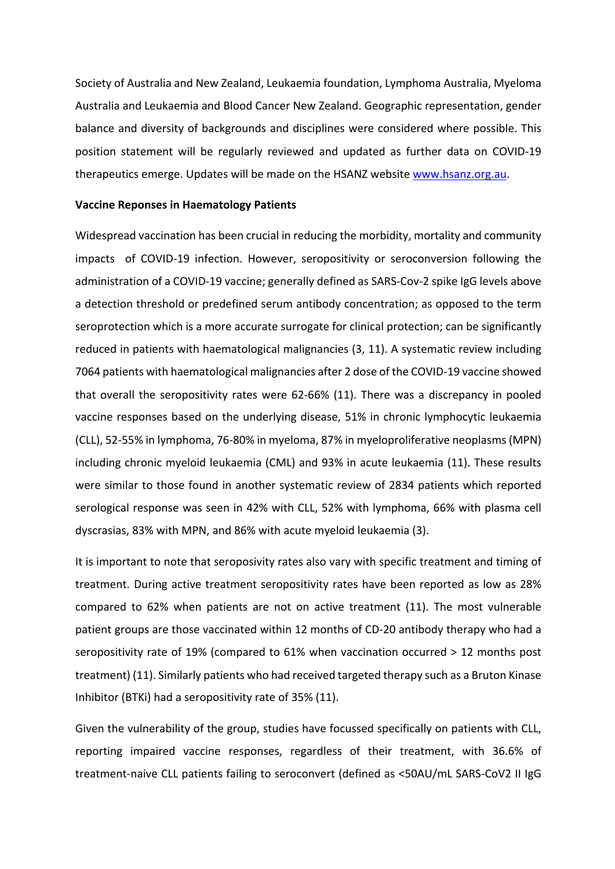Society of Australia and New Zealand, Leukaemia foundation, Lymphoma Australia, Myeloma Australia and Leukaemia and Blood Cancer New Zealand. Geographic representation, gender balance and diversity of backgrounds and disciplines were considered where possible. This position statement will be regularly reviewed and updated as further data on COVID-19 therapeutics emerge. Updates will be made on the HSANZ website www.hsanz.org.au.

#### **Vaccine Reponses in Haematology Patients**

Widespread vaccination has been crucial in reducing the morbidity, mortality and community impacts of COVID-19 infection. However, seropositivity or seroconversion following the administration of a COVID-19 vaccine; generally defined as SARS-Cov-2 spike IgG levels above a detection threshold or predefined serum antibody concentration; as opposed to the term seroprotection which is a more accurate surrogate for clinical protection; can be significantly reduced in patients with haematological malignancies (3, 11). A systematic review including 7064 patients with haematological malignancies after 2 dose of the COVID-19 vaccine showed that overall the seropositivity rates were 62-66% (11). There was a discrepancy in pooled vaccine responses based on the underlying disease, 51% in chronic lymphocytic leukaemia (CLL), 52-55% in lymphoma, 76-80% in myeloma, 87% in myeloproliferative neoplasms (MPN) including chronic myeloid leukaemia (CML) and 93% in acute leukaemia (11). These results were similar to those found in another systematic review of 2834 patients which reported serological response was seen in 42% with CLL, 52% with lymphoma, 66% with plasma cell dyscrasias, 83% with MPN, and 86% with acute myeloid leukaemia (3).

It is important to note that seroposivity rates also vary with specific treatment and timing of treatment. During active treatment seropositivity rates have been reported as low as 28% compared to 62% when patients are not on active treatment (11). The most vulnerable patient groups are those vaccinated within 12 months of CD-20 antibody therapy who had a seropositivity rate of 19% (compared to 61% when vaccination occurred > 12 months post treatment) (11). Similarly patients who had received targeted therapy such as a Bruton Kinase Inhibitor (BTKi) had a seropositivity rate of 35% (11).

Given the vulnerability of the group, studies have focussed specifically on patients with CLL, reporting impaired vaccine responses, regardless of their treatment, with 36.6% of treatment-naive CLL patients failing to seroconvert (defined as <50AU/mL SARS-CoV2 II IgG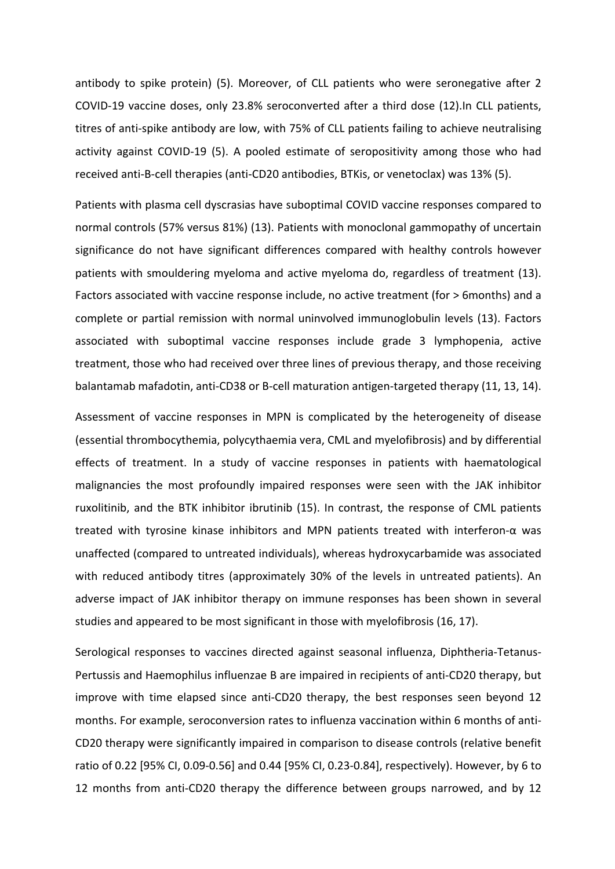antibody to spike protein) (5). Moreover, of CLL patients who were seronegative after 2 COVID-19 vaccine doses, only 23.8% seroconverted after a third dose (12).In CLL patients, titres of anti-spike antibody are low, with 75% of CLL patients failing to achieve neutralising activity against COVID-19 (5). A pooled estimate of seropositivity among those who had received anti-B-cell therapies (anti-CD20 antibodies, BTKis, or venetoclax) was 13% (5).

Patients with plasma cell dyscrasias have suboptimal COVID vaccine responses compared to normal controls (57% versus 81%) (13). Patients with monoclonal gammopathy of uncertain significance do not have significant differences compared with healthy controls however patients with smouldering myeloma and active myeloma do, regardless of treatment (13). Factors associated with vaccine response include, no active treatment (for > 6months) and a complete or partial remission with normal uninvolved immunoglobulin levels (13). Factors associated with suboptimal vaccine responses include grade 3 lymphopenia, active treatment, those who had received over three lines of previous therapy, and those receiving balantamab mafadotin, anti-CD38 or B-cell maturation antigen-targeted therapy (11, 13, 14).

Assessment of vaccine responses in MPN is complicated by the heterogeneity of disease (essential thrombocythemia, polycythaemia vera, CML and myelofibrosis) and by differential effects of treatment. In a study of vaccine responses in patients with haematological malignancies the most profoundly impaired responses were seen with the JAK inhibitor ruxolitinib, and the BTK inhibitor ibrutinib (15). In contrast, the response of CML patients treated with tyrosine kinase inhibitors and MPN patients treated with interferon-α was unaffected (compared to untreated individuals), whereas hydroxycarbamide was associated with reduced antibody titres (approximately 30% of the levels in untreated patients). An adverse impact of JAK inhibitor therapy on immune responses has been shown in several studies and appeared to be most significant in those with myelofibrosis (16, 17).

Serological responses to vaccines directed against seasonal influenza, Diphtheria-Tetanus-Pertussis and Haemophilus influenzae B are impaired in recipients of anti-CD20 therapy, but improve with time elapsed since anti-CD20 therapy, the best responses seen beyond 12 months. For example, seroconversion rates to influenza vaccination within 6 months of anti-CD20 therapy were significantly impaired in comparison to disease controls (relative benefit ratio of 0.22 [95% CI, 0.09-0.56] and 0.44 [95% CI, 0.23-0.84], respectively). However, by 6 to 12 months from anti-CD20 therapy the difference between groups narrowed, and by 12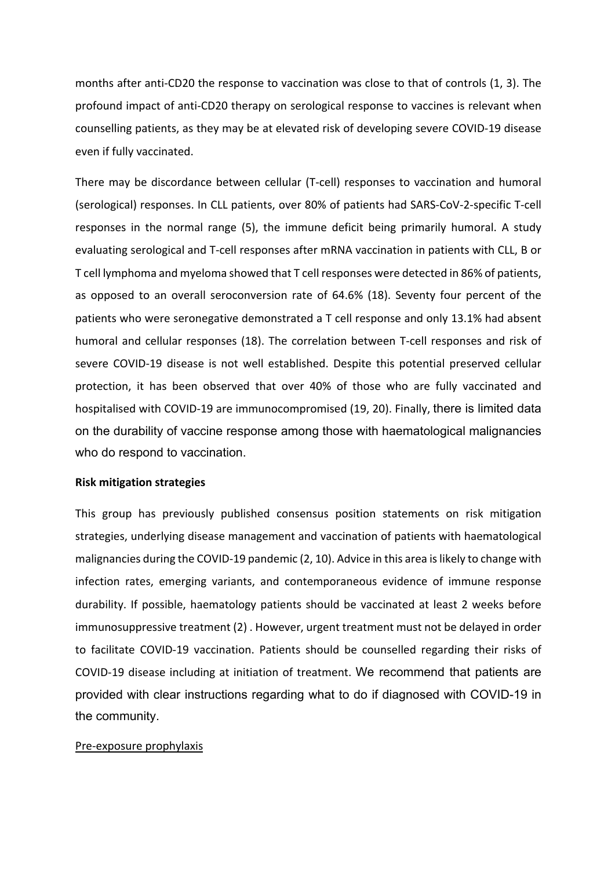months after anti-CD20 the response to vaccination was close to that of controls (1, 3). The profound impact of anti-CD20 therapy on serological response to vaccines is relevant when counselling patients, as they may be at elevated risk of developing severe COVID-19 disease even if fully vaccinated.

There may be discordance between cellular (T-cell) responses to vaccination and humoral (serological) responses. In CLL patients, over 80% of patients had SARS-CoV-2-specific T-cell responses in the normal range (5), the immune deficit being primarily humoral. A study evaluating serological and T-cell responses after mRNA vaccination in patients with CLL, B or T cell lymphoma and myeloma showed that T cell responses were detected in 86% of patients, as opposed to an overall seroconversion rate of 64.6% (18). Seventy four percent of the patients who were seronegative demonstrated a T cell response and only 13.1% had absent humoral and cellular responses (18). The correlation between T-cell responses and risk of severe COVID-19 disease is not well established. Despite this potential preserved cellular protection, it has been observed that over 40% of those who are fully vaccinated and hospitalised with COVID-19 are immunocompromised (19, 20). Finally, there is limited data on the durability of vaccine response among those with haematological malignancies who do respond to vaccination.

#### **Risk mitigation strategies**

This group has previously published consensus position statements on risk mitigation strategies, underlying disease management and vaccination of patients with haematological malignancies during the COVID-19 pandemic (2, 10). Advice in this area is likely to change with infection rates, emerging variants, and contemporaneous evidence of immune response durability. If possible, haematology patients should be vaccinated at least 2 weeks before immunosuppressive treatment (2) . However, urgent treatment must not be delayed in order to facilitate COVID-19 vaccination. Patients should be counselled regarding their risks of COVID-19 disease including at initiation of treatment. We recommend that patients are provided with clear instructions regarding what to do if diagnosed with COVID-19 in the community.

#### Pre-exposure prophylaxis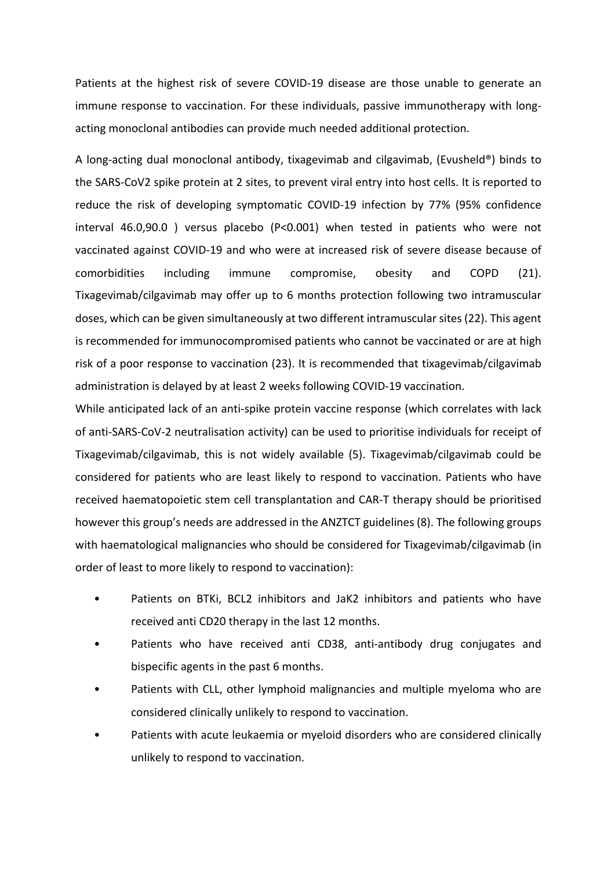Patients at the highest risk of severe COVID-19 disease are those unable to generate an immune response to vaccination. For these individuals, passive immunotherapy with longacting monoclonal antibodies can provide much needed additional protection.

A long-acting dual monoclonal antibody, tixagevimab and cilgavimab, (Evusheld®) binds to the SARS-CoV2 spike protein at 2 sites, to prevent viral entry into host cells. It is reported to reduce the risk of developing symptomatic COVID-19 infection by 77% (95% confidence interval 46.0,90.0 ) versus placebo (P<0.001) when tested in patients who were not vaccinated against COVID-19 and who were at increased risk of severe disease because of comorbidities including immune compromise, obesity and COPD (21). Tixagevimab/cilgavimab may offer up to 6 months protection following two intramuscular doses, which can be given simultaneously at two different intramuscular sites (22). This agent is recommended for immunocompromised patients who cannot be vaccinated or are at high risk of a poor response to vaccination (23). It is recommended that tixagevimab/cilgavimab administration is delayed by at least 2 weeks following COVID-19 vaccination.

While anticipated lack of an anti-spike protein vaccine response (which correlates with lack of anti-SARS-CoV-2 neutralisation activity) can be used to prioritise individuals for receipt of Tixagevimab/cilgavimab, this is not widely available (5). Tixagevimab/cilgavimab could be considered for patients who are least likely to respond to vaccination. Patients who have received haematopoietic stem cell transplantation and CAR-T therapy should be prioritised however this group's needs are addressed in the ANZTCT guidelines (8). The following groups with haematological malignancies who should be considered for Tixagevimab/cilgavimab (in order of least to more likely to respond to vaccination):

- Patients on BTKi, BCL2 inhibitors and JaK2 inhibitors and patients who have received anti CD20 therapy in the last 12 months.
- Patients who have received anti CD38, anti-antibody drug conjugates and bispecific agents in the past 6 months.
- Patients with CLL, other lymphoid malignancies and multiple myeloma who are considered clinically unlikely to respond to vaccination.
- Patients with acute leukaemia or myeloid disorders who are considered clinically unlikely to respond to vaccination.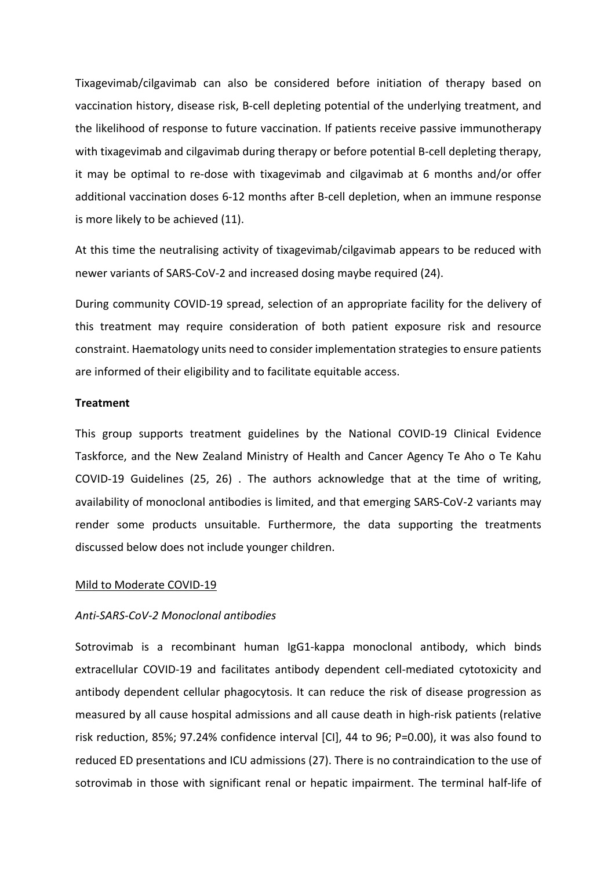Tixagevimab/cilgavimab can also be considered before initiation of therapy based on vaccination history, disease risk, B-cell depleting potential of the underlying treatment, and the likelihood of response to future vaccination. If patients receive passive immunotherapy with tixagevimab and cilgavimab during therapy or before potential B-cell depleting therapy, it may be optimal to re-dose with tixagevimab and cilgavimab at 6 months and/or offer additional vaccination doses 6-12 months after B-cell depletion, when an immune response is more likely to be achieved (11).

At this time the neutralising activity of tixagevimab/cilgavimab appears to be reduced with newer variants of SARS-CoV-2 and increased dosing maybe required (24).

During community COVID-19 spread, selection of an appropriate facility for the delivery of this treatment may require consideration of both patient exposure risk and resource constraint. Haematology units need to consider implementation strategies to ensure patients are informed of their eligibility and to facilitate equitable access.

### **Treatment**

This group supports treatment guidelines by the National COVID-19 Clinical Evidence Taskforce, and the New Zealand Ministry of Health and Cancer Agency Te Aho o Te Kahu COVID-19 Guidelines (25, 26) . The authors acknowledge that at the time of writing, availability of monoclonal antibodies is limited, and that emerging SARS-CoV-2 variants may render some products unsuitable. Furthermore, the data supporting the treatments discussed below does not include younger children.

#### Mild to Moderate COVID-19

#### *Anti-SARS-CoV-2 Monoclonal antibodies*

Sotrovimab is a recombinant human IgG1-kappa monoclonal antibody, which binds extracellular COVID-19 and facilitates antibody dependent cell-mediated cytotoxicity and antibody dependent cellular phagocytosis. It can reduce the risk of disease progression as measured by all cause hospital admissions and all cause death in high-risk patients (relative risk reduction, 85%; 97.24% confidence interval [CI], 44 to 96; P=0.00), it was also found to reduced ED presentations and ICU admissions (27). There is no contraindication to the use of sotrovimab in those with significant renal or hepatic impairment. The terminal half-life of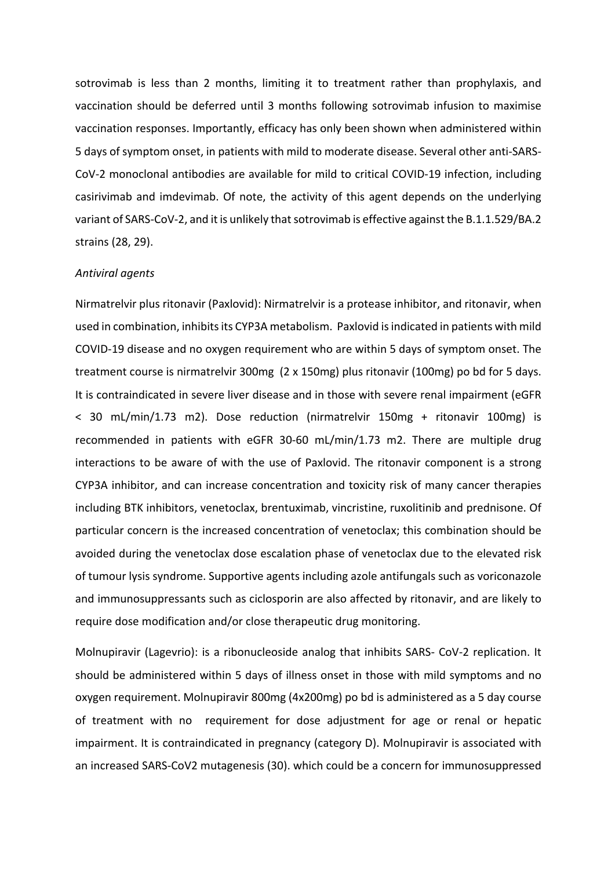sotrovimab is less than 2 months, limiting it to treatment rather than prophylaxis, and vaccination should be deferred until 3 months following sotrovimab infusion to maximise vaccination responses. Importantly, efficacy has only been shown when administered within 5 days of symptom onset, in patients with mild to moderate disease. Several other anti-SARS-CoV-2 monoclonal antibodies are available for mild to critical COVID-19 infection, including casirivimab and imdevimab. Of note, the activity of this agent depends on the underlying variant of SARS-CoV-2, and it is unlikely that sotrovimab is effective against the B.1.1.529/BA.2 strains (28, 29).

#### *Antiviral agents*

Nirmatrelvir plus ritonavir (Paxlovid): Nirmatrelvir is a protease inhibitor, and ritonavir, when used in combination, inhibits its CYP3A metabolism. Paxlovid is indicated in patients with mild COVID-19 disease and no oxygen requirement who are within 5 days of symptom onset. The treatment course is nirmatrelvir 300mg (2 x 150mg) plus ritonavir (100mg) po bd for 5 days. It is contraindicated in severe liver disease and in those with severe renal impairment (eGFR < 30 mL/min/1.73 m2). Dose reduction (nirmatrelvir 150mg + ritonavir 100mg) is recommended in patients with eGFR 30-60 mL/min/1.73 m2. There are multiple drug interactions to be aware of with the use of Paxlovid. The ritonavir component is a strong CYP3A inhibitor, and can increase concentration and toxicity risk of many cancer therapies including BTK inhibitors, venetoclax, brentuximab, vincristine, ruxolitinib and prednisone. Of particular concern is the increased concentration of venetoclax; this combination should be avoided during the venetoclax dose escalation phase of venetoclax due to the elevated risk of tumour lysis syndrome. Supportive agents including azole antifungals such as voriconazole and immunosuppressants such as ciclosporin are also affected by ritonavir, and are likely to require dose modification and/or close therapeutic drug monitoring.

Molnupiravir (Lagevrio): is a ribonucleoside analog that inhibits SARS- CoV-2 replication. It should be administered within 5 days of illness onset in those with mild symptoms and no oxygen requirement. Molnupiravir 800mg (4x200mg) po bd is administered as a 5 day course of treatment with no requirement for dose adjustment for age or renal or hepatic impairment. It is contraindicated in pregnancy (category D). Molnupiravir is associated with an increased SARS-CoV2 mutagenesis (30). which could be a concern for immunosuppressed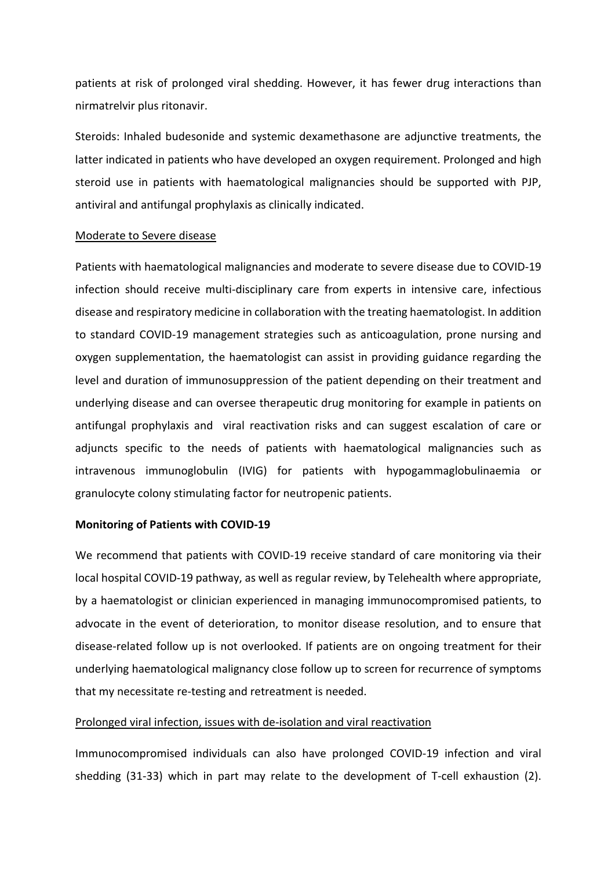patients at risk of prolonged viral shedding. However, it has fewer drug interactions than nirmatrelvir plus ritonavir.

Steroids: Inhaled budesonide and systemic dexamethasone are adjunctive treatments, the latter indicated in patients who have developed an oxygen requirement. Prolonged and high steroid use in patients with haematological malignancies should be supported with PJP, antiviral and antifungal prophylaxis as clinically indicated.

### Moderate to Severe disease

Patients with haematological malignancies and moderate to severe disease due to COVID-19 infection should receive multi-disciplinary care from experts in intensive care, infectious disease and respiratory medicine in collaboration with the treating haematologist. In addition to standard COVID-19 management strategies such as anticoagulation, prone nursing and oxygen supplementation, the haematologist can assist in providing guidance regarding the level and duration of immunosuppression of the patient depending on their treatment and underlying disease and can oversee therapeutic drug monitoring for example in patients on antifungal prophylaxis and viral reactivation risks and can suggest escalation of care or adjuncts specific to the needs of patients with haematological malignancies such as intravenous immunoglobulin (IVIG) for patients with hypogammaglobulinaemia or granulocyte colony stimulating factor for neutropenic patients.

## **Monitoring of Patients with COVID-19**

We recommend that patients with COVID-19 receive standard of care monitoring via their local hospital COVID-19 pathway, as well as regular review, by Telehealth where appropriate, by a haematologist or clinician experienced in managing immunocompromised patients, to advocate in the event of deterioration, to monitor disease resolution, and to ensure that disease-related follow up is not overlooked. If patients are on ongoing treatment for their underlying haematological malignancy close follow up to screen for recurrence of symptoms that my necessitate re-testing and retreatment is needed.

## Prolonged viral infection, issues with de-isolation and viral reactivation

Immunocompromised individuals can also have prolonged COVID-19 infection and viral shedding (31-33) which in part may relate to the development of T-cell exhaustion (2).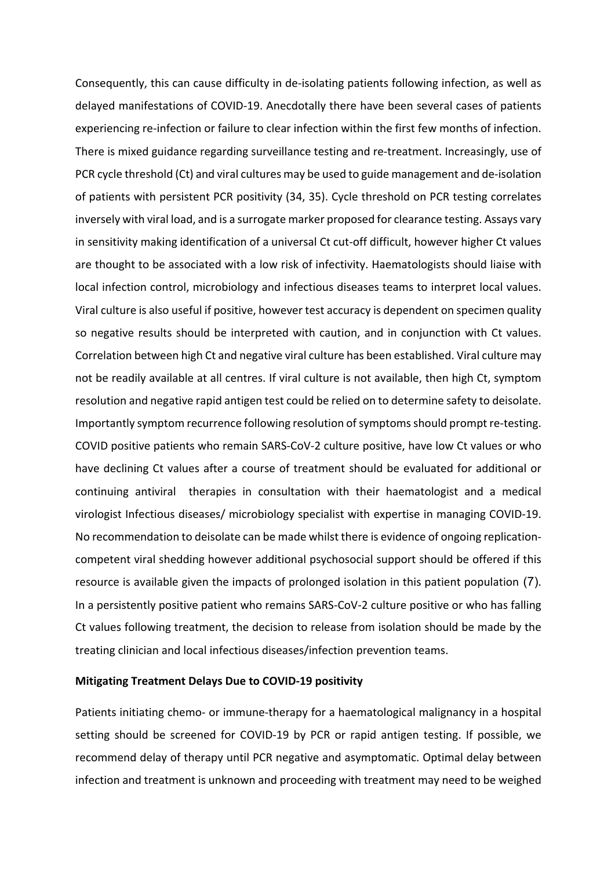Consequently, this can cause difficulty in de-isolating patients following infection, as well as delayed manifestations of COVID-19. Anecdotally there have been several cases of patients experiencing re-infection or failure to clear infection within the first few months of infection. There is mixed guidance regarding surveillance testing and re-treatment. Increasingly, use of PCR cycle threshold (Ct) and viral cultures may be used to guide management and de-isolation of patients with persistent PCR positivity (34, 35). Cycle threshold on PCR testing correlates inversely with viral load, and is a surrogate marker proposed for clearance testing. Assays vary in sensitivity making identification of a universal Ct cut-off difficult, however higher Ct values are thought to be associated with a low risk of infectivity. Haematologists should liaise with local infection control, microbiology and infectious diseases teams to interpret local values. Viral culture is also useful if positive, however test accuracy is dependent on specimen quality so negative results should be interpreted with caution, and in conjunction with Ct values. Correlation between high Ct and negative viral culture has been established. Viral culture may not be readily available at all centres. If viral culture is not available, then high Ct, symptom resolution and negative rapid antigen test could be relied on to determine safety to deisolate. Importantly symptom recurrence following resolution of symptoms should prompt re-testing. COVID positive patients who remain SARS-CoV-2 culture positive, have low Ct values or who have declining Ct values after a course of treatment should be evaluated for additional or continuing antiviral therapies in consultation with their haematologist and a medical virologist Infectious diseases/ microbiology specialist with expertise in managing COVID-19. No recommendation to deisolate can be made whilst there is evidence of ongoing replicationcompetent viral shedding however additional psychosocial support should be offered if this resource is available given the impacts of prolonged isolation in this patient population (7). In a persistently positive patient who remains SARS-CoV-2 culture positive or who has falling Ct values following treatment, the decision to release from isolation should be made by the treating clinician and local infectious diseases/infection prevention teams.

#### **Mitigating Treatment Delays Due to COVID-19 positivity**

Patients initiating chemo- or immune-therapy for a haematological malignancy in a hospital setting should be screened for COVID-19 by PCR or rapid antigen testing. If possible, we recommend delay of therapy until PCR negative and asymptomatic. Optimal delay between infection and treatment is unknown and proceeding with treatment may need to be weighed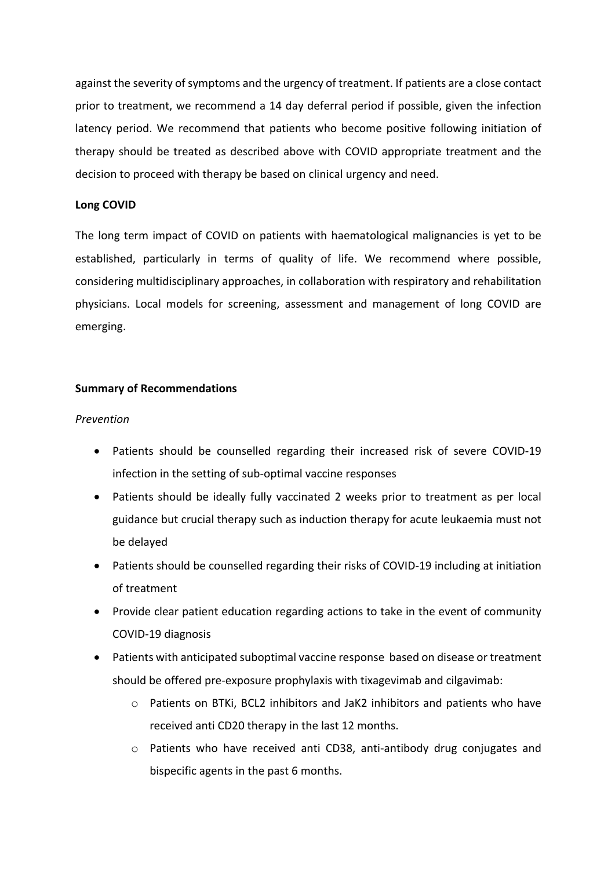against the severity of symptoms and the urgency of treatment. If patients are a close contact prior to treatment, we recommend a 14 day deferral period if possible, given the infection latency period. We recommend that patients who become positive following initiation of therapy should be treated as described above with COVID appropriate treatment and the decision to proceed with therapy be based on clinical urgency and need.

## **Long COVID**

The long term impact of COVID on patients with haematological malignancies is yet to be established, particularly in terms of quality of life. We recommend where possible, considering multidisciplinary approaches, in collaboration with respiratory and rehabilitation physicians. Local models for screening, assessment and management of long COVID are emerging.

# **Summary of Recommendations**

# *Prevention*

- Patients should be counselled regarding their increased risk of severe COVID-19 infection in the setting of sub-optimal vaccine responses
- Patients should be ideally fully vaccinated 2 weeks prior to treatment as per local guidance but crucial therapy such as induction therapy for acute leukaemia must not be delayed
- Patients should be counselled regarding their risks of COVID-19 including at initiation of treatment
- Provide clear patient education regarding actions to take in the event of community COVID-19 diagnosis
- Patients with anticipated suboptimal vaccine response based on disease or treatment should be offered pre-exposure prophylaxis with tixagevimab and cilgavimab:
	- o Patients on BTKi, BCL2 inhibitors and JaK2 inhibitors and patients who have received anti CD20 therapy in the last 12 months.
	- o Patients who have received anti CD38, anti-antibody drug conjugates and bispecific agents in the past 6 months.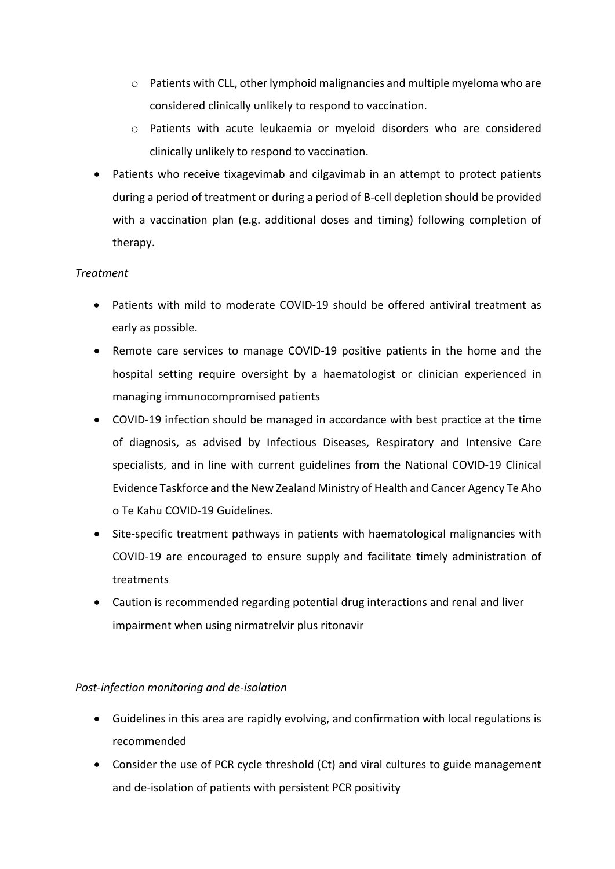- $\circ$  Patients with CLL, other lymphoid malignancies and multiple myeloma who are considered clinically unlikely to respond to vaccination.
- o Patients with acute leukaemia or myeloid disorders who are considered clinically unlikely to respond to vaccination.
- Patients who receive tixagevimab and cilgavimab in an attempt to protect patients during a period of treatment or during a period of B-cell depletion should be provided with a vaccination plan (e.g. additional doses and timing) following completion of therapy.

# *Treatment*

- Patients with mild to moderate COVID-19 should be offered antiviral treatment as early as possible.
- Remote care services to manage COVID-19 positive patients in the home and the hospital setting require oversight by a haematologist or clinician experienced in managing immunocompromised patients
- COVID-19 infection should be managed in accordance with best practice at the time of diagnosis, as advised by Infectious Diseases, Respiratory and Intensive Care specialists, and in line with current guidelines from the National COVID-19 Clinical Evidence Taskforce and the New Zealand Ministry of Health and Cancer Agency Te Aho o Te Kahu COVID-19 Guidelines.
- Site-specific treatment pathways in patients with haematological malignancies with COVID-19 are encouraged to ensure supply and facilitate timely administration of treatments
- Caution is recommended regarding potential drug interactions and renal and liver impairment when using nirmatrelvir plus ritonavir

# *Post-infection monitoring and de-isolation*

- Guidelines in this area are rapidly evolving, and confirmation with local regulations is recommended
- Consider the use of PCR cycle threshold (Ct) and viral cultures to guide management and de-isolation of patients with persistent PCR positivity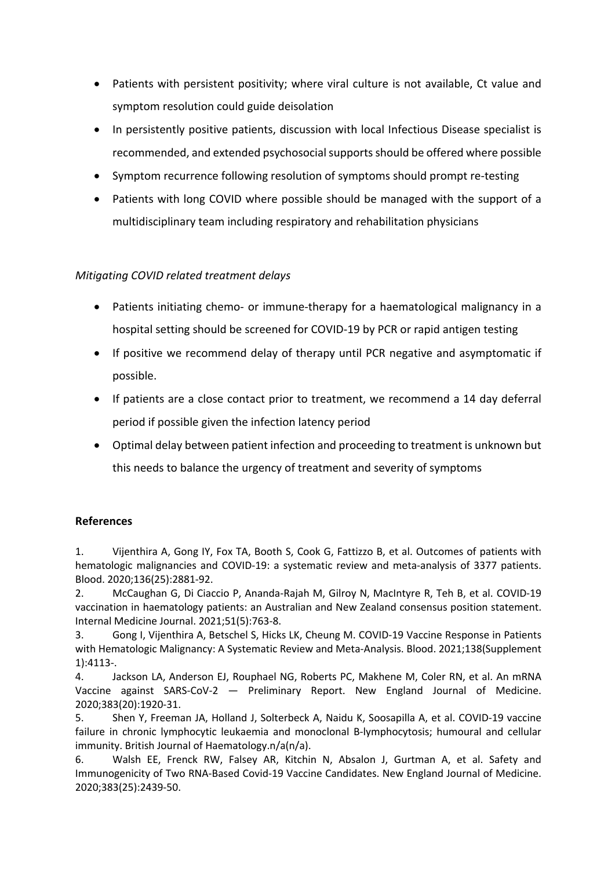- Patients with persistent positivity; where viral culture is not available, Ct value and symptom resolution could guide deisolation
- In persistently positive patients, discussion with local Infectious Disease specialist is recommended, and extended psychosocial supports should be offered where possible
- Symptom recurrence following resolution of symptoms should prompt re-testing
- Patients with long COVID where possible should be managed with the support of a multidisciplinary team including respiratory and rehabilitation physicians

# *Mitigating COVID related treatment delays*

- Patients initiating chemo- or immune-therapy for a haematological malignancy in a hospital setting should be screened for COVID-19 by PCR or rapid antigen testing
- If positive we recommend delay of therapy until PCR negative and asymptomatic if possible.
- If patients are a close contact prior to treatment, we recommend a 14 day deferral period if possible given the infection latency period
- Optimal delay between patient infection and proceeding to treatment is unknown but this needs to balance the urgency of treatment and severity of symptoms

# **References**

1. Vijenthira A, Gong IY, Fox TA, Booth S, Cook G, Fattizzo B, et al. Outcomes of patients with hematologic malignancies and COVID-19: a systematic review and meta-analysis of 3377 patients. Blood. 2020;136(25):2881-92.

2. McCaughan G, Di Ciaccio P, Ananda-Rajah M, Gilroy N, MacIntyre R, Teh B, et al. COVID-19 vaccination in haematology patients: an Australian and New Zealand consensus position statement. Internal Medicine Journal. 2021;51(5):763-8.

3. Gong I, Vijenthira A, Betschel S, Hicks LK, Cheung M. COVID-19 Vaccine Response in Patients with Hematologic Malignancy: A Systematic Review and Meta-Analysis. Blood. 2021;138(Supplement 1):4113-.

4. Jackson LA, Anderson EJ, Rouphael NG, Roberts PC, Makhene M, Coler RN, et al. An mRNA Vaccine against SARS-CoV-2 — Preliminary Report. New England Journal of Medicine. 2020;383(20):1920-31.

5. Shen Y, Freeman JA, Holland J, Solterbeck A, Naidu K, Soosapilla A, et al. COVID-19 vaccine failure in chronic lymphocytic leukaemia and monoclonal B-lymphocytosis; humoural and cellular immunity. British Journal of Haematology.n/a(n/a).

6. Walsh EE, Frenck RW, Falsey AR, Kitchin N, Absalon J, Gurtman A, et al. Safety and Immunogenicity of Two RNA-Based Covid-19 Vaccine Candidates. New England Journal of Medicine. 2020;383(25):2439-50.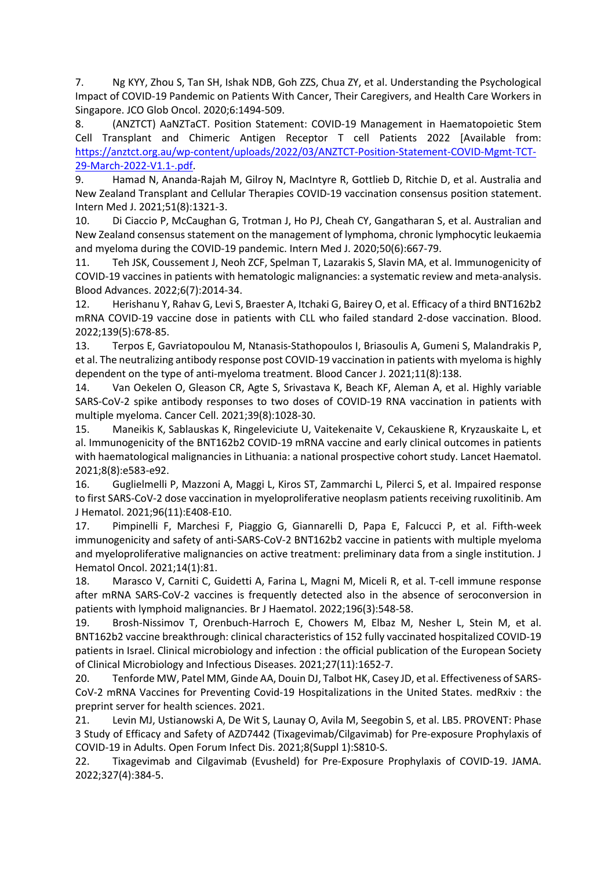7. Ng KYY, Zhou S, Tan SH, Ishak NDB, Goh ZZS, Chua ZY, et al. Understanding the Psychological Impact of COVID-19 Pandemic on Patients With Cancer, Their Caregivers, and Health Care Workers in Singapore. JCO Glob Oncol. 2020;6:1494-509.

8. (ANZTCT) AaNZTaCT. Position Statement: COVID-19 Management in Haematopoietic Stem Cell Transplant and Chimeric Antigen Receptor T cell Patients 2022 [Available from: https://anztct.org.au/wp-content/uploads/2022/03/ANZTCT-Position-Statement-COVID-Mgmt-TCT-29-March-2022-V1.1-.pdf.

9. Hamad N, Ananda-Rajah M, Gilroy N, MacIntyre R, Gottlieb D, Ritchie D, et al. Australia and New Zealand Transplant and Cellular Therapies COVID-19 vaccination consensus position statement. Intern Med J. 2021;51(8):1321-3.

10. Di Ciaccio P, McCaughan G, Trotman J, Ho PJ, Cheah CY, Gangatharan S, et al. Australian and New Zealand consensus statement on the management of lymphoma, chronic lymphocytic leukaemia and myeloma during the COVID-19 pandemic. Intern Med J. 2020;50(6):667-79.

11. Teh JSK, Coussement J, Neoh ZCF, Spelman T, Lazarakis S, Slavin MA, et al. Immunogenicity of COVID-19 vaccines in patients with hematologic malignancies: a systematic review and meta-analysis. Blood Advances. 2022;6(7):2014-34.

12. Herishanu Y, Rahav G, Levi S, Braester A, Itchaki G, Bairey O, et al. Efficacy of a third BNT162b2 mRNA COVID-19 vaccine dose in patients with CLL who failed standard 2-dose vaccination. Blood. 2022;139(5):678-85.

13. Terpos E, Gavriatopoulou M, Ntanasis-Stathopoulos I, Briasoulis A, Gumeni S, Malandrakis P, et al. The neutralizing antibody response post COVID-19 vaccination in patients with myeloma is highly dependent on the type of anti-myeloma treatment. Blood Cancer J. 2021;11(8):138.

14. Van Oekelen O, Gleason CR, Agte S, Srivastava K, Beach KF, Aleman A, et al. Highly variable SARS-CoV-2 spike antibody responses to two doses of COVID-19 RNA vaccination in patients with multiple myeloma. Cancer Cell. 2021;39(8):1028-30.

15. Maneikis K, Sablauskas K, Ringeleviciute U, Vaitekenaite V, Cekauskiene R, Kryzauskaite L, et al. Immunogenicity of the BNT162b2 COVID-19 mRNA vaccine and early clinical outcomes in patients with haematological malignancies in Lithuania: a national prospective cohort study. Lancet Haematol. 2021;8(8):e583-e92.

16. Guglielmelli P, Mazzoni A, Maggi L, Kiros ST, Zammarchi L, Pilerci S, et al. Impaired response to first SARS-CoV-2 dose vaccination in myeloproliferative neoplasm patients receiving ruxolitinib. Am J Hematol. 2021;96(11):E408-E10.

17. Pimpinelli F, Marchesi F, Piaggio G, Giannarelli D, Papa E, Falcucci P, et al. Fifth-week immunogenicity and safety of anti-SARS-CoV-2 BNT162b2 vaccine in patients with multiple myeloma and myeloproliferative malignancies on active treatment: preliminary data from a single institution. J Hematol Oncol. 2021;14(1):81.

18. Marasco V, Carniti C, Guidetti A, Farina L, Magni M, Miceli R, et al. T-cell immune response after mRNA SARS-CoV-2 vaccines is frequently detected also in the absence of seroconversion in patients with lymphoid malignancies. Br J Haematol. 2022;196(3):548-58.

19. Brosh-Nissimov T, Orenbuch-Harroch E, Chowers M, Elbaz M, Nesher L, Stein M, et al. BNT162b2 vaccine breakthrough: clinical characteristics of 152 fully vaccinated hospitalized COVID-19 patients in Israel. Clinical microbiology and infection : the official publication of the European Society of Clinical Microbiology and Infectious Diseases. 2021;27(11):1652-7.

20. Tenforde MW, Patel MM, Ginde AA, Douin DJ, Talbot HK, Casey JD, et al. Effectiveness of SARS-CoV-2 mRNA Vaccines for Preventing Covid-19 Hospitalizations in the United States. medRxiv : the preprint server for health sciences. 2021.

21. Levin MJ, Ustianowski A, De Wit S, Launay O, Avila M, Seegobin S, et al. LB5. PROVENT: Phase 3 Study of Efficacy and Safety of AZD7442 (Tixagevimab/Cilgavimab) for Pre-exposure Prophylaxis of COVID-19 in Adults. Open Forum Infect Dis. 2021;8(Suppl 1):S810-S.

22. Tixagevimab and Cilgavimab (Evusheld) for Pre-Exposure Prophylaxis of COVID-19. JAMA. 2022;327(4):384-5.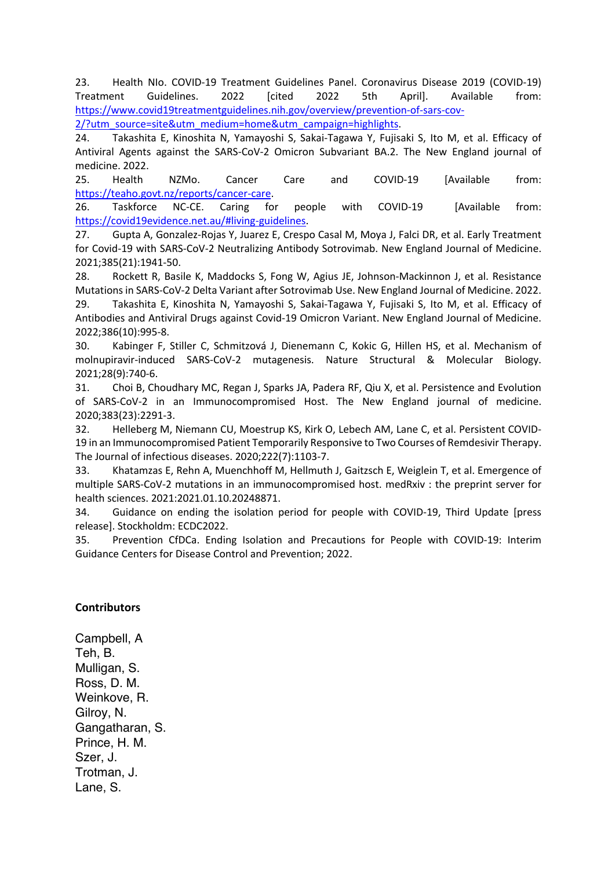23. Health NIo. COVID-19 Treatment Guidelines Panel. Coronavirus Disease 2019 (COVID-19) Treatment Guidelines. 2022 [cited 2022 5th April]. Available from: https://www.covid19treatmentguidelines.nih.gov/overview/prevention-of-sars-cov-

2/?utm\_source=site&utm\_medium=home&utm\_campaign=highlights.

24. Takashita E, Kinoshita N, Yamayoshi S, Sakai-Tagawa Y, Fujisaki S, Ito M, et al. Efficacy of Antiviral Agents against the SARS-CoV-2 Omicron Subvariant BA.2. The New England journal of medicine. 2022.

25. Health NZMo. Cancer Care and COVID-19 [Available from: https://teaho.govt.nz/reports/cancer-care.

26. Taskforce NC-CE. Caring for people with COVID-19 [Available from: https://covid19evidence.net.au/#living-guidelines.

27. Gupta A, Gonzalez-Rojas Y, Juarez E, Crespo Casal M, Moya J, Falci DR, et al. Early Treatment for Covid-19 with SARS-CoV-2 Neutralizing Antibody Sotrovimab. New England Journal of Medicine. 2021;385(21):1941-50.

28. Rockett R, Basile K, Maddocks S, Fong W, Agius JE, Johnson-Mackinnon J, et al. Resistance Mutations in SARS-CoV-2 Delta Variant after Sotrovimab Use. New England Journal of Medicine. 2022. 29. Takashita E, Kinoshita N, Yamayoshi S, Sakai-Tagawa Y, Fujisaki S, Ito M, et al. Efficacy of

Antibodies and Antiviral Drugs against Covid-19 Omicron Variant. New England Journal of Medicine. 2022;386(10):995-8.

30. Kabinger F, Stiller C, Schmitzová J, Dienemann C, Kokic G, Hillen HS, et al. Mechanism of molnupiravir-induced SARS-CoV-2 mutagenesis. Nature Structural & Molecular Biology. 2021;28(9):740-6.

31. Choi B, Choudhary MC, Regan J, Sparks JA, Padera RF, Qiu X, et al. Persistence and Evolution of SARS-CoV-2 in an Immunocompromised Host. The New England journal of medicine. 2020;383(23):2291-3.

32. Helleberg M, Niemann CU, Moestrup KS, Kirk O, Lebech AM, Lane C, et al. Persistent COVID-19 in an Immunocompromised Patient Temporarily Responsive to Two Courses of Remdesivir Therapy. The Journal of infectious diseases. 2020;222(7):1103-7.

33. Khatamzas E, Rehn A, Muenchhoff M, Hellmuth J, Gaitzsch E, Weiglein T, et al. Emergence of multiple SARS-CoV-2 mutations in an immunocompromised host. medRxiv : the preprint server for health sciences. 2021:2021.01.10.20248871.

34. Guidance on ending the isolation period for people with COVID-19, Third Update [press release]. Stockholdm: ECDC2022.

35. Prevention CfDCa. Ending Isolation and Precautions for People with COVID-19: Interim Guidance Centers for Disease Control and Prevention; 2022.

## **Contributors**

Campbell, A Teh, B. Mulligan, S. Ross, D. M. Weinkove, R. Gilroy, N. Gangatharan, S. Prince, H. M. Szer, J. Trotman, J. Lane, S.